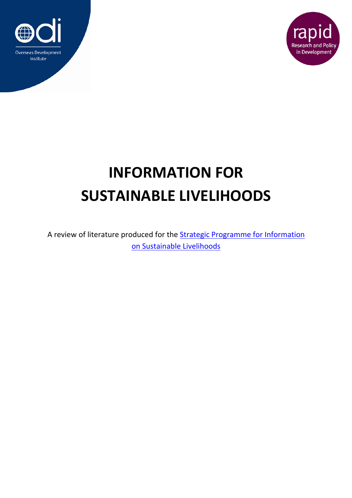



## **INFORMATION FOR SUSTAINABLE LIVELIHOODS**

A review of literature produced for the **Strategic Programme for Information** on Sustainable Livelihoods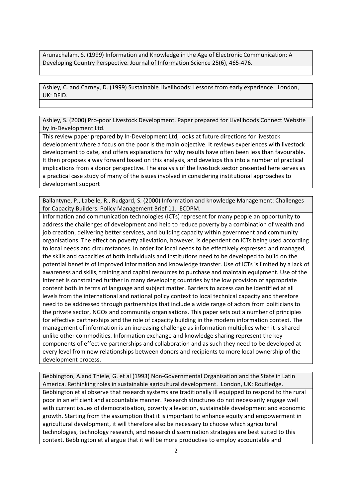Arunachalam, S. (1999) Information and Knowledge in the Age of Electronic Communication: A Developing Country Perspective. Journal of Information Science 25(6), 465‐476.

Ashley, C. and Carney, D. (1999) Sustainable Livelihoods: Lessons from early experience. London, UK: DFID.

Ashley, S. (2000) Pro‐poor Livestock Development. Paper prepared for Livelihoods Connect Website by In‐Development Ltd.

This review paper prepared by In‐Development Ltd, looks at future directions for livestock development where a focus on the poor is the main objective. It reviews experiences with livestock development to date, and offers explanations for why results have often been less than favourable. It then proposes a way forward based on this analysis, and develops this into a number of practical implications from a donor perspective. The analysis of the livestock sector presented here serves as a practical case study of many of the issues involved in considering institutional approaches to development support

Ballantyne, P., Labelle, R., Rudgard, S. (2000) Information and knowledge Management: Challenges for Capacity Builders. Policy Management Brief 11. ECDPM.

Information and communication technologies (ICTs) represent for many people an opportunity to address the challenges of development and help to reduce poverty by a combination of wealth and job creation, delivering better services, and building capacity within government and community organisations. The effect on poverty alleviation, however, is dependent on ICTs being used according to local needs and circumstances. In order for local needs to be effectively expressed and managed, the skills and capacities of both individuals and institutions need to be developed to build on the potential benefits of improved information and knowledge transfer. Use of ICTs is limited by a lack of awareness and skills, training and capital resources to purchase and maintain equipment. Use of the Internet is constrained further in many developing countries by the low provision of appropriate content both in terms of language and subject matter. Barriers to access can be identified at all levels from the international and national policy context to local technical capacity and therefore need to be addressed through partnerships that include a wide range of actors from politicians to the private sector, NGOs and community organisations. This paper sets out a number of principles for effective partnerships and the role of capacity building in the modern information context. The management of information is an increasing challenge as information multiplies when it is shared unlike other commodities. Information exchange and knowledge sharing represent the key components of effective partnerships and collaboration and as such they need to be developed at every level from new relationships between donors and recipients to more local ownership of the development process.

Bebbington, A.and Thiele, G. et al (1993) Non‐Governmental Organisation and the State in Latin America. Rethinking roles in sustainable agricultural development. London, UK: Routledge. Bebbington et al observe that research systems are traditionally ill equipped to respond to the rural poor in an efficient and accountable manner. Research structures do not necessarily engage well with current issues of democratisation, poverty alleviation, sustainable development and economic growth. Starting from the assumption that it is important to enhance equity and empowerment in agricultural development, it will therefore also be necessary to choose which agricultural technologies, technology research, and research dissemination strategies are best suited to this context. Bebbington et al argue that it will be more productive to employ accountable and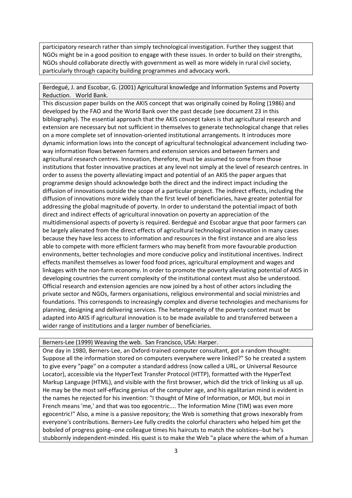participatory research rather than simply technological investigation. Further they suggest that NGOs might be in a good position to engage with these issues. In order to build on their strengths, NGOs should collaborate directly with government as well as more widely in rural civil society, particularly through capacity building programmes and advocacy work.

Berdegué, J. and Escobar, G. (2001) Agricultural knowledge and Information Systems and Poverty Reduction. World Bank.

This discussion paper builds on the AKIS concept that was originally coined by Roling (1986) and developed by the FAO and the World Bank over the past decade (see document 23 in this bibliography). The essential approach that the AKIS concept takes is that agricultural research and extension are necessary but not sufficient in themselves to generate technological change that relies on a more complete set of innovation-oriented institutional arrangements. It introduces more dynamic information lows into the concept of agricultural technological advancement including twoway information flows between farmers and extension services and between farmers and agricultural research centres. Innovation, therefore, must be assumed to come from those institutions that foster innovative practices at any level not simply at the level of research centres. In order to assess the poverty alleviating impact and potential of an AKIS the paper argues that programme design should acknowledge both the direct and the indirect impact including the diffusion of innovations outside the scope of a particular project. The indirect effects, including the diffusion of innovations more widely than the first level of beneficiaries, have greater potential for addressing the global magnitude of poverty. In order to understand the potential impact of both direct and indirect effects of agricultural innovation on poverty an appreciation of the multidimensional aspects of poverty is required. Berdegué and Escobar argue that poor farmers can be largely alienated from the direct effects of agricultural technological innovation in many cases because they have less access to information and resources in the first instance and are also less able to compete with more efficient farmers who may benefit from more favourable production environments, better technologies and more conducive policy and institutional incentives. Indirect effects manifest themselves as lower food food prices, agricultural employment and wages and linkages with the non‐farm economy. In order to promote the poverty alleviating potential of AKIS in developing countries the current complexity of the institutional context must also be understood. Official research and extension agencies are now joined by a host of other actors including the private sector and NGOs, farmers organisations, religious environmental and social ministries and foundations. This corresponds to increasingly complex and diverse technologies and mechanisms for planning, designing and delivering services. The heterogeneity of the poverty context must be adapted into AKIS if agricultural innovation is to be made available to and transferred between a wider range of institutions and a larger number of beneficiaries.

Berners‐Lee (1999) Weaving the web. San Francisco, USA: Harper.

One day in 1980, Berners‐Lee, an Oxford‐trained computer consultant, got a random thought: Suppose all the information stored on computers everywhere were linked?" So he created a system to give every "page" on a computer a standard address (now called a URL, or Universal Resource Locator), accessible via the HyperText Transfer Protocol (HTTP), formatted with the HyperText Markup Language (HTML), and visible with the first browser, which did the trick of linking us all up. He may be the most self‐effacing genius of the computer age, and his egalitarian mind is evident in the names he rejected for his invention: "I thought of Mine of Information, or MOI, but moi in French means 'me,' and that was too egocentric.... The Information Mine (TIM) was even more egocentric!" Also, a mine is a passive repository; the Web is something that grows inexorably from everyone's contributions. Berners‐Lee fully credits the colorful characters who helped him get the bobsled of progress going‐‐one colleague times his haircuts to match the solstices‐‐but he's stubbornly independent‐minded. His quest is to make the Web "a place where the whim of a human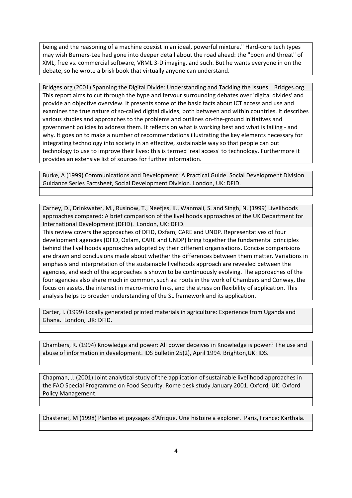being and the reasoning of a machine coexist in an ideal, powerful mixture." Hard‐core tech types may wish Berners‐Lee had gone into deeper detail about the road ahead: the "boon and threat" of XML, free vs. commercial software, VRML 3‐D imaging, and such. But he wants everyone in on the debate, so he wrote a brisk book that virtually anyone can understand.

Bridges.org (2001) Spanning the Digital Divide: Understanding and Tackling the Issues. Bridges.org. This report aims to cut through the hype and fervour surrounding debates over 'digital divides' and provide an objective overview. It presents some of the basic facts about ICT access and use and examines the true nature of so‐called digital divides, both between and within countries. It describes various studies and approaches to the problems and outlines on‐the‐ground initiatives and government policies to address them. It reflects on what is working best and what is failing ‐ and why. It goes on to make a number of recommendations illustrating the key elements necessary for integrating technology into society in an effective, sustainable way so that people can put technology to use to improve their lives: this is termed 'real access' to technology. Furthermore it provides an extensive list of sources for further information.

Burke, A (1999) Communications and Development: A Practical Guide. Social Development Division Guidance Series Factsheet, Social Development Division. London, UK: DFID.

Carney, D., Drinkwater, M., Rusinow, T., Neefjes, K., Wanmali, S. and Singh, N. (1999) Livelihoods approaches compared: A brief comparison of the livelihoods approaches of the UK Department for International Development (DFID). London, UK: DFID.

This review covers the approaches of DFID, Oxfam, CARE and UNDP. Representatives of four development agencies (DFID, Oxfam, CARE and UNDP) bring together the fundamental principles behind the livelihoods approaches adopted by their different organisations. Concise comparisions are drawn and conclusions made about whether the differences between them matter. Variations in emphasis and interpretation of the sustainable livelhoods approach are revealed between the agencies, and each of the approaches is shown to be continuously evolving. The approaches of the four agencies also share much in common, such as: roots in the work of Chambers and Conway, the focus on assets, the interest in macro-micro links, and the stress on flexibility of application. This analysis helps to broaden understanding of the SL framework and its application.

Carter, I. (1999) Locally generated printed materials in agriculture: Experience from Uganda and Ghana. London, UK: DFID.

Chambers, R. (1994) Knowledge and power: All power deceives in Knowledge is power? The use and abuse of information in development. IDS bulletin 25(2), April 1994. Brighton,UK: IDS.

Chapman, J. (2001) Joint analytical study of the application of sustainable livelihood approaches in the FAO Special Programme on Food Security. Rome desk study January 2001. Oxford, UK: Oxford Policy Management.

Chastenet, M (1998) Plantes et paysages d'Afrique. Une histoire a explorer. Paris, France: Karthala.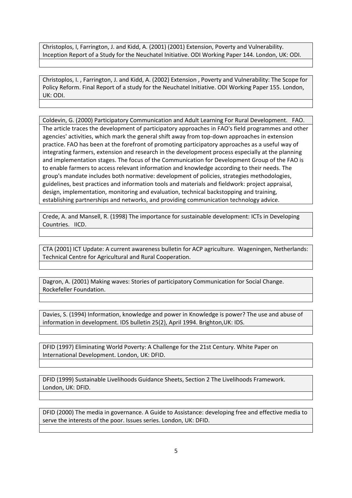Christoplos, I, Farrington, J. and Kidd, A. (2001) (2001) Extension, Poverty and Vulnerability. Inception Report of a Study for the Neuchatel Initiative. ODI Working Paper 144. London, UK: ODI.

Christoplos, I. , Farrington, J. and Kidd, A. (2002) Extension , Poverty and Vulnerability: The Scope for Policy Reform. Final Report of a study for the Neuchatel Initiative. ODI Working Paper 155. London, UK: ODI.

Coldevin, G. (2000) Participatory Communication and Adult Learning For Rural Development. FAO. The article traces the development of participatory approaches in FAO's field programmes and other agencies' activities, which mark the general shift away from top‐down approaches in extension practice. FAO has been at the forefront of promoting participatory approaches as a useful way of integrating farmers, extension and research in the development process especially at the planning and implementation stages. The focus of the Communication for Development Group of the FAO is to enable farmers to access relevant information and knowledge according to their needs. The group's mandate includes both normative: development of policies, strategies methodologies, guidelines, best practices and information tools and materials and fieldwork: project appraisal, design, implementation, monitoring and evaluation, technical backstopping and training, establishing partnerships and networks, and providing communication technology advice.

Crede, A. and Mansell, R. (1998) The importance for sustainable development: ICTs in Developing Countries. IICD.

CTA (2001) ICT Update: A current awareness bulletin for ACP agriculture. Wageningen, Netherlands: Technical Centre for Agricultural and Rural Cooperation.

Dagron, A. (2001) Making waves: Stories of participatory Communication for Social Change. Rockefeller Foundation.

Davies, S. (1994) Information, knowledge and power in Knowledge is power? The use and abuse of information in development. IDS bulletin 25(2), April 1994. Brighton,UK: IDS.

DFID (1997) Eliminating World Poverty: A Challenge for the 21st Century. White Paper on International Development. London, UK: DFID.

DFID (1999) Sustainable Livelihoods Guidance Sheets, Section 2 The Livelihoods Framework. London, UK: DFID.

DFID (2000) The media in governance. A Guide to Assistance: developing free and effective media to serve the interests of the poor. Issues series. London, UK: DFID.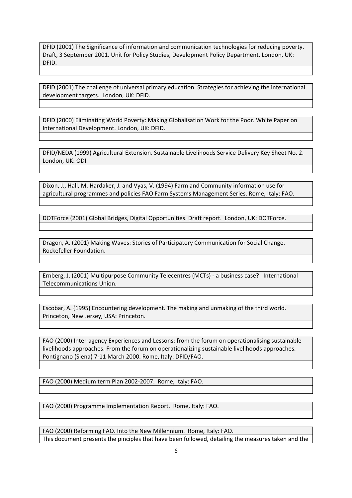DFID (2001) The Significance of information and communication technologies for reducing poverty. Draft, 3 September 2001. Unit for Policy Studies, Development Policy Department. London, UK: DFID.

DFID (2001) The challenge of universal primary education. Strategies for achieving the international development targets. London, UK: DFID.

DFID (2000) Eliminating World Poverty: Making Globalisation Work for the Poor. White Paper on International Development. London, UK: DFID.

DFID/NEDA (1999) Agricultural Extension. Sustainable Livelihoods Service Delivery Key Sheet No. 2. London, UK: ODI.

Dixon, J., Hall, M. Hardaker, J. and Vyas, V. (1994) Farm and Community information use for agricultural programmes and policies FAO Farm Systems Management Series. Rome, Italy: FAO.

DOTForce (2001) Global Bridges, Digital Opportunities. Draft report. London, UK: DOTForce.

Dragon, A. (2001) Making Waves: Stories of Participatory Communication for Social Change. Rockefeller Foundation.

Ernberg, J. (2001) Multipurpose Community Telecentres (MCTs) ‐ a business case? International Telecommunications Union.

Escobar, A. (1995) Encountering development. The making and unmaking of the third world. Princeton, New Jersey, USA: Princeton.

FAO (2000) Inter-agency Experiences and Lessons: from the forum on operationalising sustainable livelihoods approaches. From the forum on operationalizing sustainable livelihoods approaches. Pontignano (Siena) 7‐11 March 2000. Rome, Italy: DFID/FAO.

FAO (2000) Medium term Plan 2002‐2007. Rome, Italy: FAO.

FAO (2000) Programme Implementation Report. Rome, Italy: FAO.

FAO (2000) Reforming FAO. Into the New Millennium. Rome, Italy: FAO. This document presents the pinciples that have been followed, detailing the measures taken and the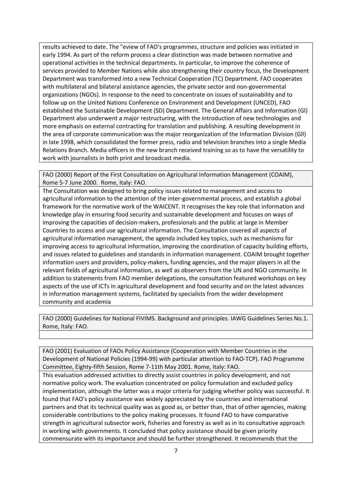results achieved to date. The "eview of FAO's programmes, structure and policies was initiated in early 1994. As part of the reform process a clear distinction was made between normative and operational activities in the technical departments. In particular, to improve the coherence of services provided to Member Nations while also strengthening their country focus, the Development Department was transformed into a new Technical Cooperation (TC) Department. FAO cooperates with multilateral and bilateral assistance agencies, the private sector and non‐governmental organizations (NGOs). In response to the need to concentrate on issues of sustainability and to follow up on the United Nations Conference on Environment and Development (UNCED), FAO established the Sustainable Development (SD) Department. The General Affairs and Information (Gl) Department also underwent a major restructuring, with the introduction of new technologies and more emphasis on external contracting for translation and publishing. A resulting development in the area of corporate communication was the major reorganization of the Information Division (Gll) in late 1998, which consolidated the former press, radio and television branches into a single Media Relations Branch. Media officers in the new branch received training so as to have the versatility to work with journalists in both print and broadcast media.

FAO (2000) Report of the First Consultation on Agricultural Information Management (COAIM), Rome 5‐7 June 2000. Rome, Italy: FAO.

The Consultation was designed to bring policy issues related to management and access to agricultural information to the attention of the inter‐governmental process, and establish a global framework for the normative work of the WAICENT. It recognises the key role that information and knowledge play in ensuring food security and sustainable development and focuses on ways of improving the capacities of decision‐makers, professionals and the public at large in Member Countries to access and use agricultural information. The Consultation covered all aspects of agricultural information management, the agenda included key topics, such as mechanisms for improving access to agricultural information, improving the coordination of capacity building efforts, and issues related to guidelines and standards in information management. COAIM brought together information users and providers, policy-makers, funding agencies, and the major players in all the relevant fields of agricultural information, as well as observers from the UN and NGO community. In addition to statements from FAO member delegations, the consultation featured workshops on key aspects of the use of ICTs in agricultural development and food security and on the latest advances in information management systems, facilitated by specialists from the wider development community and academia

FAO (2000) Guidelines for National FIVIMS. Background and principles. IAWG Guidelines Series No.1. Rome, Italy: FAO.

FAO (2001) Evaluation of FAOs Policy Assistance (Cooperation with Member Countries in the Development of National Policies (1994‐99) with particular attention to FAO‐TCP). FAO Programme Committee, Eighty‐fifth Session, Rome 7‐11th May 2001. Rome, Italy: FAO.

This evaluation addressed activities to directly assist countries in policy development, and not normative policy work. The evaluation concentrated on policy formulation and excluded policy implementation, although the latter was a major criteria for judging whether policy was successful. It found that FAO's policy assistance was widely appreciated by the countries and international partners and that its technical quality was as good as, or better than, that of other agencies, making considerable contributions to the policy making processes. It found FAO to have comparative strength in agricultural subsector work, fisheries and forestry as well as in its consultative approach in working with governments. It concluded that policy assistance should be given priority commensurate with its importance and should be further strengthened. It recommends that the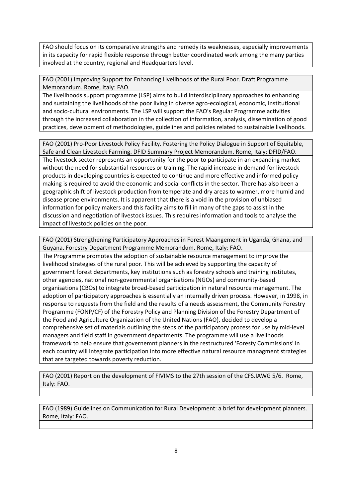FAO should focus on its comparative strengths and remedy its weaknesses, especially improvements in its capacity for rapid flexible response through better coordinated work among the many parties involved at the country, regional and Headquarters level.

FAO (2001) Improving Support for Enhancing Livelihoods of the Rural Poor. Draft Programme Memorandum. Rome, Italy: FAO.

The livelihoods support programme (LSP) aims to build interdisciplinary approaches to enhancing and sustaining the livelihoods of the poor living in diverse agro-ecological, economic, institutional and socio-cultural environments. The LSP will support the FAO's Regular Programme activities through the increased collaboration in the collection of information, analysis, dissemination of good practices, development of methodologies, guidelines and policies related to sustainable livelihoods.

FAO (2001) Pro‐Poor Livestock Policy Facility. Fostering the Policy Dialogue in Support of Equitable, Safe and Clean Livestock Farming. DFID Summary Project Memorandum. Rome, Italy: DFID/FAO. The livestock sector represents an opportunity for the poor to participate in an expanding market without the need for substantial resources or training. The rapid increase in demand for livestock products in developing countries is expected to continue and more effective and informed policy making is required to avoid the economic and social conflicts in the sector. There has also been a geographic shift of livestock production from temperate and dry areas to warmer, more humid and disease prone environments. It is apparent that there is a void in the provision of unbiased information for policy makers and this facility aims to fill in many of the gaps to assist in the discussion and negotiation of livestock issues. This requires information and tools to analyse the impact of livestock policies on the poor.

FAO (2001) Strengthening Participatory Approaches in Forest Maangement in Uganda, Ghana, and Guyana. Forestry Department Programme Memorandum. Rome, Italy: FAO.

The Programme promotes the adoption of sustainable resource management to improve the livelihood strategies of the rural poor. This will be achieved by supporting the capacity of government forest departments, key institutions such as forestry schools and training institutes, other agencies, national non‐governmental organisations (NGOs) and community‐based organisations (CBOs) to integrate broad‐based participation in natural resource management. The adoption of participatory approaches is essentially an internally driven process. However, in 1998, in response to requests from the field and the results of a needs assessment, the Community Forestry Programme (FONP/CF) of the Forestry Policy and Planning Division of the Forestry Department of the Food and Agriculture Organization of the United Nations (FAO), decided to develop a comprehensive set of materials outlining the steps of the participatory process for use by mid-level managers and field staff in government departments. The programme will use a livelihoods framework to help ensure that governemnt planners in the restructured 'Foresty Commissions' in each country will integrate participation into more effective natural resource managment strategies that are targeted towards poverty reduction.

FAO (2001) Report on the development of FIVIMS to the 27th session of the CFS.IAWG 5/6. Rome, Italy: FAO.

FAO (1989) Guidelines on Communication for Rural Development: a brief for development planners. Rome, Italy: FAO.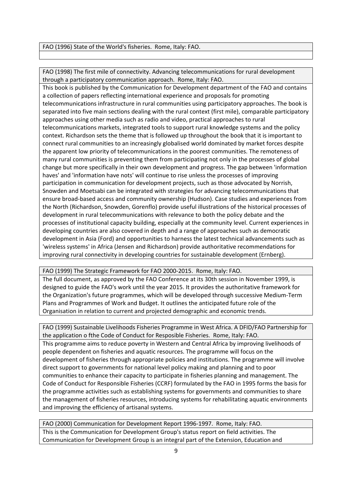FAO (1996) State of the World's fisheries. Rome, Italy: FAO.

FAO (1998) The first mile of connectivity. Advancing telecommunications for rural development through a participatory communication approach. Rome, Italy: FAO.

This book is published by the Communication for Development department of the FAO and contains a collection of papers reflecting international experience and proposals for promoting telecommunications infrastructure in rural communities using participatory approaches. The book is separated into five main sections dealing with the rural context (first mile), comparable participatory approaches using other media such as radio and video, practical approaches to rural telecommunications markets, integrated tools to support rural knowledge systems and the policy context. Richardson sets the theme that is followed up throughout the book that it is important to connect rural communities to an increasingly globalised world dominated by market forces despite the apparent low priority of telecommunications in the poorest communities. The remoteness of many rural communities is preventing them from participating not only in the processes of global change but more specifically in their own development and progress. The gap between 'information haves' and 'information have nots' will continue to rise unless the processes of improving participation in communication for development projects, such as those advocated by Norrish, Snowden and Moetsabi can be integrated with strategies for advancing telecommunications that ensure broad‐based access and community ownership (Hudson). Case studies and experiences from the North (Richardson, Snowden, Gorenflo) provide useful illustrations of the historical processes of development in rural telecommunications with relevance to both the policy debate and the processes of institutional capacity building, especially at the community level. Current experiences in developing countries are also covered in depth and a range of approaches such as democratic development in Asia (Ford) and opportunities to harness the latest technical advancements such as 'wireless systems' in Africa (Jensen and Richardson) provide authoritative recommendations for improving rural connectivity in developing countries for sustainable development (Ernberg).

FAO (1999) The Strategic Framework for FAO 2000‐2015. Rome, Italy: FAO.

The full document, as approved by the FAO Conference at its 30th session in November 1999, is designed to guide the FAO's work until the year 2015. It provides the authoritative framework for the Organization's future programmes, which will be developed through successive Medium‐Term Plans and Programmes of Work and Budget. It outlines the anticipated future role of the Organisation in relation to current and projected demographic and economic trends.

FAO (1999) Sustainable Livelihoods Fisheries Programme in West Africa. A DFID/FAO Partnership for the application o fthe Code of Conduct for Resposible Fisheries. Rome, Italy: FAO.

This programme aims to reduce poverty in Western and Central Africa by improving livelihoods of people dependent on fisheries and aquatic resources. The programme will focus on the development of fisheries through appropriate policies and institutions. The programme will involve direct support to governments for national level policy making and planning and to poor communities to enhance their capacity to participate in fisheries planning and management. The Code of Conduct for Responsible Fisheries (CCRF) formulated by the FAO in 1995 forms the basis for the programme activities such as establishing systems for governments and communities to share the management of fisheries resources, introducing systems for rehabilitating aquatic environments and improving the efficiency of artisanal systems.

FAO (2000) Communication for Development Report 1996‐1997. Rome, Italy: FAO. This is the Communication for Development Group's status report on field activities. The Communication for Development Group is an integral part of the Extension, Education and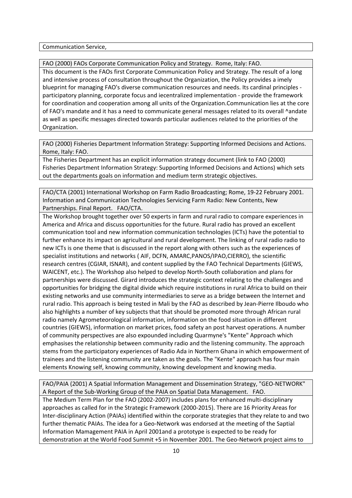Communication Service,

FAO (2000) FAOs Corporate Communication Policy and Strategy. Rome, Italy: FAO.

This document is the FAOs first Corporate Communication Policy and Strategy. The result of a long and intensive process of consultation throughout the Organization, the Policy provides a imely blueprint for managing FAO's diverse communication resources and needs. Its cardinal principles ‐ participatory planning, corporate focus and iecentralized implementation ‐ provide the framework for coordination and cooperation among all units of the Organization.Communication lies at the core of FAO's mandate and it has a need to communicate general messages related to its overall ^andate as well as specific messages directed towards particular audiences related to the priorities of the Organization.

FAO (2000) Fisheries Department Information Strategy: Supporting Informed Decisions and Actions. Rome, Italy: FAO.

The Fisheries Department has an explicit information strategy document (link to FAO (2000) Fisheries Department Information Strategy: Supporting Informed Decisions and Actions) which sets out the departments goals on information and medium term strategic objectives.

FAO/CTA (2001) International Workshop on Farm Radio Broadcasting; Rome, 19‐22 February 2001. Information and Communication Technologies Servicing Farm Radio: New Contents, New Partnerships. Final Report. FAO/CTA.

The Workshop brought together over 50 experts in farm and rural radio to compare experiences in America and Africa and discuss opportunities for the future. Rural radio has proved an excellent communication tool and new information communication technologies (ICTs) have the potential to further enhance its impact on agricultural and rural development. The linking of rural radio radio to new ICTs is one theme that is discussed in the report along with others such as the experiences of specialist institutions and networks ( AIF, DCFN, AMARC,PANOS/IPAO,CIERRO), the scientific research centres (CGIAR, ISNAR), and content supplied by the FAO Technical Departments (GIEWS, WAICENT, etc.). The Workshop also helped to develop North‐South collaboration and plans for partnerships were discussed. Girard introduces the strategic context relating to the challenges and opportunities for bridging the digital divide which require institutions in rural Africa to build on their existing networks and use community intermediaries to serve as a bridge between the Internet and rural radio. This approach is being tested in Mali by the FAO as described by Jean‐Pierre Ilboudo who also highlights a number of key subjects that that should be promoted more through African rural radio namely Agrometeorological information, information on the food situation in different countries (GIEWS), information on market prices, food safety an post harvest operations. A number of community perspectives are also expounded including Quarmyne's "Kente" Approach which emphasises the relationship between community radio and the listening community. The approach stems from the participatory experiences of Radio Ada in Northern Ghana in which empowerment of trainees and the listening community are taken as the goals. The "Kente" approach has four main elements Knowing self, knowing community, knowing development and knowing media.

FAO/PAIA (2001) A Spatial Information Management and Dissemination Strategy, "GEO‐NETWORK" A Report of the Sub‐Working Group of the PAIA on Spatial Data Management. FAO.

The Medium Term Plan for the FAO (2002‐2007) includes plans for enhanced multi‐disciplinary approaches as called for in the Strategic Framework (2000‐2015). There are 16 Priority Areas for Inter-disciplinary Action (PAIAs) identified within the corporate strategies that they relate to and two further thematic PAIAs. The idea for a Geo‐Network was endorsed at the meeting of the Saptial Information Mamagement PAIA in April 2001and a prototype is expected to be ready for demonstration at the World Food Summit +5 in November 2001. The Geo‐Network project aims to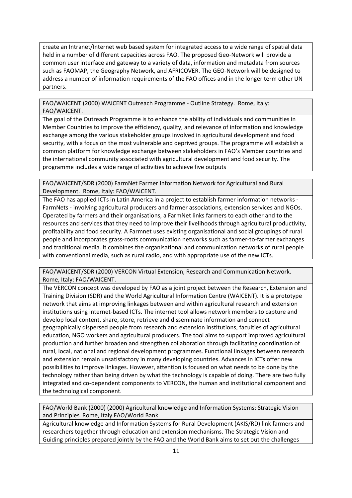create an Intranet/Internet web based system for integrated access to a wide range of spatial data held in a number of different capacities across FAO. The proposed Geo-Network will provide a common user interface and gateway to a variety of data, information and metadata from sources such as FAOMAP, the Geography Network, and AFRICOVER. The GEO-Network will be designed to address a number of information requirements of the FAO offices and in the longer term other UN partners.

FAO/WAICENT (2000) WAICENT Outreach Programme ‐ Outline Strategy. Rome, Italy: FAO/WAICENT.

The goal of the Outreach Programme is to enhance the ability of individuals and communities in Member Countries to improve the efficiency, quality, and relevance of information and knowledge exchange among the various stakeholder groups involved in agricultural development and food security, with a focus on the most vulnerable and deprived groups. The programme will establish a common platform for knowledge exchange between stakeholders in FAO's Member countries and the international community associated with agricultural development and food security. The programme includes a wide range of activities to achieve five outputs

FAO/WAICENT/SDR (2000) FarmNet Farmer Information Network for Agricultural and Rural Development. Rome, Italy: FAO/WAICENT.

The FAO has applied ICTs in Latin America in a project to establish farmer information networks ‐ FarmNets ‐ involving agricultural producers and farmer associations, extension services and NGOs. Operated by farmers and their organisations, a FarmNet links farmers to each other and to the resources and services that they need to improve their livelihoods through agricultural productivity, profitability and food security. A Farmnet uses existing organisational and social groupings of rural people and incorporates grass‐roots communication networks such as farmer‐to‐farmer exchanges and traditional media. It combines the organisational and communication networks of rural people with conventional media, such as rural radio, and with appropriate use of the new ICTs.

FAO/WAICENT/SDR (2000) VERCON Virtual Extension, Research and Communication Network. Rome, Italy: FAO/WAICENT.

The VERCON concept was developed by FAO as a joint project between the Research, Extension and Training Division (SDR) and the World Agricultural Information Centre (WAICENT). It is a prototype network that aims at improving linkages between and within agricultural research and extension institutions using internet‐based ICTs. The internet tool allows network members to capture and develop local content, share, store, retrieve and disseminate information and connect geographically dispersed people from research and extension institutions, faculties of agricultural education, NGO workers and agricultural producers. The tool aims to support improved agricultural production and further broaden and strengthen collaboration through facilitating coordination of rural, local, national and regional development programmes. Functional linkages between research and extension remain unsatisfactory in many developing countries. Advances in ICTs offer new possibilities to improve linkages. However, attention is focused on what needs to be done by the technology rather than being driven by what the technology is capable of doing. There are two fully integrated and co‐dependent components to VERCON, the human and institutional component and the technological component.

FAO/World Bank (2000) (2000) Agricultural knowledge and Information Systems: Strategic Vision and Principles Rome, Italy FAO/World Bank

Agricultural knowledge and Information Systems for Rural Development (AKIS/RD) link farmers and researchers together through education and extension mechanisms. The Strategic Vision and Guiding principles prepared jointly by the FAO and the World Bank aims to set out the challenges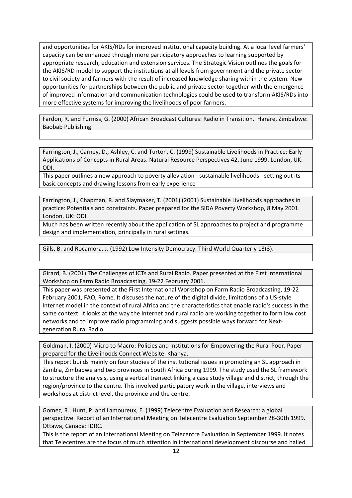and opportunities for AKIS/RDs for improved institutional capacity building. At a local level farmers' capacity can be enhanced through more participatory approaches to learning supported by appropriate research, education and extension services. The Strategic Vision outlines the goals for the AKIS/RD model to support the institutions at all levels from government and the private sector to civil society and farmers with the result of increased knowledge sharing within the system. New opportunities for partnerships between the public and private sector together with the emergence of improved information and communication technologies could be used to transform AKIS/RDs into more effective systems for improving the livelihoods of poor farmers.

Fardon, R. and Furniss, G. (2000) African Broadcast Cultures: Radio in Transition. Harare, Zimbabwe: Baobab Publishing.

Farrington, J., Carney, D., Ashley, C. and Turton, C. (1999) Sustainable Livelihoods in Practice: Early Applications of Concepts in Rural Areas. Natural Resource Perspectives 42, June 1999. London, UK: ODI.

This paper outlines a new approach to poverty alleviation ‐ sustainable livelihoods ‐ setting out its basic concepts and drawing lessons from early experience

Farrington, J., Chapman, R. and Slaymaker, T. (2001) (2001) Sustainable Livelihoods approaches in practice: Potentials and constraints. Paper prepared for the SIDA Poverty Workshop, 8 May 2001. London, UK: ODI.

Much has been written recently about the application of SL approaches to project and programme design and implementation, principally in rural settings.

Gills, B. and Rocamora, J. (1992) Low Intensity Democracy. Third World Quarterly 13(3).

Girard, B. (2001) The Challenges of ICTs and Rural Radio. Paper presented at the First International Workshop on Farm Radio Broadcasting, 19‐22 February 2001.

This paper was presented at the First International Workshop on Farm Radio Broadcasting, 19‐22 February 2001, FAO, Rome. It discuses the nature of the digital divide, limitations of a US‐style Internet model in the context of rural Africa and the characteristics that enable radio's success in the same context. It looks at the way the Internet and rural radio are working together to form low cost networks and to improve radio programming and suggests possible ways forward for Next‐ generation Rural Radio

Goldman, I. (2000) Micro to Macro: Policies and Institutions for Empowering the Rural Poor. Paper prepared for the Livelihoods Connect Website. Khanya.

This report builds mainly on four studies of the institutional issues in promoting an SL approach in Zambia, Zimbabwe and two provinces in South Africa during 1999. The study used the SL framework to structure the analysis, using a vertical transect linking a case study village and district, through the region/province to the centre. This involved participatory work in the village, interviews and workshops at district level, the province and the centre.

Gomez, R., Hunt, P. and Lamoureux, E. (1999) Telecentre Evaluation and Research: a global perspective. Report of an International Meeting on Telecentre Evaluation September 28‐30th 1999. Ottawa, Canada: IDRC.

This is the report of an International Meeting on Telecentre Evaluation in September 1999. It notes that Telecentres are the focus of much attention in international development discourse and hailed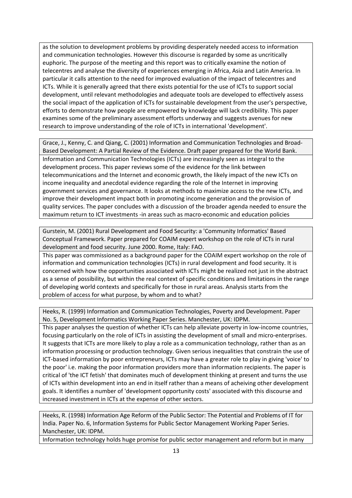as the solution to development problems by providing desperately needed access to information and communication technologies. However this discourse is regarded by some as uncritically euphoric. The purpose of the meeting and this report was to critically examine the notion of telecentres and analyse the diversity of experiences emerging in Africa, Asia and Latin America. In particular it calls attention to the need for improved evaluation of the impact of telecentres and ICTs. While it is generally agreed that there exists potential for the use of ICTs to support social development, until relevant methodologies and adequate tools are developed to effectively assess the social impact of the application of ICTs for sustainable development from the user's perspective, efforts to demonstrate how people are empowered by knowledge will lack credibility. This paper examines some of the preliminary assessment efforts underway and suggests avenues for new research to improve understanding of the role of ICTs in international 'development'.

Grace, J., Kenny, C. and Qiang, C. (2001) Information and Communication Technologies and Broad‐ Based Development: A Partial Review of the Evidence. Draft paper prepared for the World Bank. Information and Communication Technologies (ICTs) are increasingly seen as integral to the development process. This paper reviews some of the evidence for the link between telecommunications and the Internet and economic growth, the likely impact of the new ICTs on income inequality and anecdotal evidence regarding the role of the Internet in improving government services and governance. It looks at methods to maximize access to the new ICTs, and improve their development impact both in promoting income generation and the provision of quality services. The paper concludes with a discussion of the broader agenda needed to ensure the maximum return to ICT investments ‐in areas such as macro‐economic and education policies

Gurstein, M. (2001) Rural Development and Food Security: a 'Community Informatics' Based Conceptual Framework. Paper prepared for COAIM expert workshop on the role of ICTs in rural development and food security. June 2000. Rome, Italy: FAO.

This paper was commissioned as a background paper for the COAIM expert workshop on the role of information and communication technologies (ICTs) in rural development and food security. It is concerned with how the opportunities associated with ICTs might be realized not just in the abstract as a sense of possibility, but within the real context of specific conditions and limitations in the range of developing world contexts and specifically for those in rural areas. Analysis starts from the problem of access for what purpose, by whom and to what?

Heeks, R. (1999) Information and Communication Technologies, Poverty and Development. Paper No. 5, Development Informatics Working Paper Series. Manchester, UK: IDPM.

This paper analyses the question of whether ICTs can help alleviate poverty in low-income countries, focusing particularly on the role of ICTs in assisting the development of small and micro-enterprises. It suggests that ICTs are more likely to play a role as a communication technology, rather than as an information processing or production technology. Given serious inequalities that constrain the use of ICT‐based information by poor entrepreneurs, ICTs may have a greater role to play in giving 'voice' to the poor' i.e. making the poor information providers more than information recipients. The paper is critical of 'the ICT fetish' that dominates much of development thinking at present and turns the use of ICTs within development into an end in itself rather than a means of acheiving other development goals. It identifies a number of 'development opportunity costs' associated with this discourse and increased investment in ICTs at the expense of other sectors.

Heeks, R. (1998) Information Age Reform of the Public Sector: The Potential and Problems of IT for India. Paper No. 6, Information Systems for Public Sector Management Working Paper Series. Manchester, UK: IDPM.

Information technology holds huge promise for public sector management and reform but in many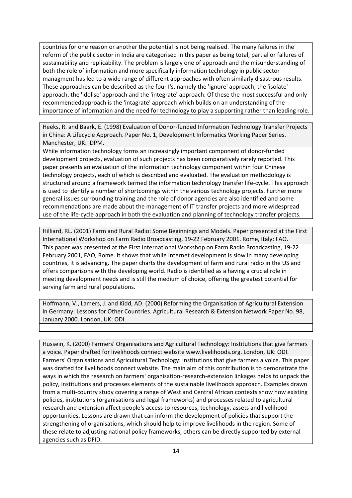countries for one reason or another the potential is not being realised. The many failures in the reform of the public sector in India are categorised in this paper as being total, partial or failures of sustainability and replicability. The problem is largely one of approach and the misunderstanding of both the role of information and more specifically information technology in public sector managment has led to a wide range of different approaches with often similarly disastrous results. These approaches can be described as the four I's, namely the 'ignore' approach, the 'isolate' approach, the 'idolise' approach and the 'integrate' approach. Of these the most successful and only recommendedapproach is the 'intagrate' approach which builds on an understanding of the importance of information and the need for technology to play a supporting rather than leading role.

Heeks, R. and Baark, E. (1998) Evaluation of Donor-funded Information Technology Transfer Projects in China: A Lifecycle Approach. Paper No. 1, Development Informatics Working Paper Series. Manchester, UK: IDPM.

While information technology forms an increasingly important component of donor-funded development projects, evaluation of such projects has been comparatively rarely reported. This paper presents an evaluation of the information technology component within four Chinese technology projects, each of which is described and evaluated. The evaluation methodology is structured around a framework termed the information technology transfer life‐cycle. This approach is used to identify a number of shortcomings within the various technology projects. Further more general issues surrounding training and the role of donor agencies are also identified and some recommendations are made about the management of IT transfer projects and more widespread use of the life-cycle approach in both the evaluation and planning of technology transfer projects.

Hilliard, RL. (2001) Farm and Rural Radio: Some Beginnings and Models. Paper presented at the First International Workshop on Farm Radio Broadcasting, 19‐22 February 2001. Rome, Italy: FAO. This paper was presented at the First International Workshop on Farm Radio Broadcasting, 19‐22 February 2001, FAO, Rome. It shows that while Internet development is slow in many developing countries, it is advancing. The paper charts the development of farm and rural radio in the US and offers comparisons with the developing world. Radio is identified as a having a crucial role in meeting development needs and is still the medium of choice, offering the greatest potential for serving farm and rural populations.

Hoffmann, V., Lamers, J. and Kidd, AD. (2000) Reforming the Organisation of Agricultural Extension in Germany: Lessons for Other Countries. Agricultural Research & Extension Network Paper No. 98, January 2000. London, UK: ODI.

Hussein, K. (2000) Farmers' Organisations and Agricultural Technology: Institutions that give farmers a voice. Paper drafted for livelihoods connect website www.livelihoods.org. London, UK: ODI. Farmers' Organisations and Agricultural Technology: Institutions that give farmers a voice. This paper was drafted for livelihoods connect website. The main aim of this contribution is to demonstrate the ways in which the research on farmers' organisation‐research‐extension linkages helps to unpack the policy, institutions and processes elements of the sustainable livelihoods approach. Examples drawn from a multi-country study covering a range of West and Central African contexts show how existing policies, institutions (organisations and legal frameworks) and processes related to agricultural research and extension affect people's access to resources, technology, assets and livelihood opportunities. Lessons are drawn that can inform the development of policies that support the strengthening of organisations, which should help to improve livelihoods in the region. Some of these relate to adjusting national policy frameworks, others can be directly supported by external agencies such as DFID.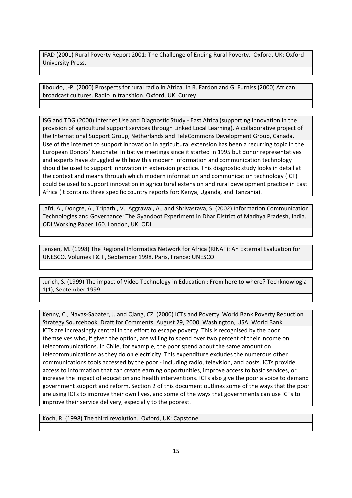IFAD (2001) Rural Poverty Report 2001: The Challenge of Ending Rural Poverty. Oxford, UK: Oxford University Press.

Ilboudo, J‐P. (2000) Prospects for rural radio in Africa. In R. Fardon and G. Furniss (2000) African broadcast cultures. Radio in transition. Oxford, UK: Currey.

ISG and TDG (2000) Internet Use and Diagnostic Study ‐ East Africa (supporting innovation in the provision of agricultural support services through Linked Local Learning). A collaborative project of the International Support Group, Netherlands and TeleCommons Development Group, Canada. Use of the internet to support innovation in agricultural extension has been a recurring topic in the European Donors' Neuchatel Initiative meetings since it started in 1995 but donor representatives and experts have struggled with how this modern information and communication technology should be used to support innovation in extension practice. This diagnostic study looks in detail at the context and means through which modern information and communication technology (ICT) could be used to support innovation in agricultural extension and rural development practice in East Africa (it contains three specific country reports for: Kenya, Uganda, and Tanzania).

Jafri, A., Dongre, A., Tripathi, V., Aggrawal, A., and Shrivastava, S. (2002) Information Communication Technologies and Governance: The Gyandoot Experiment in Dhar District of Madhya Pradesh, India. ODI Working Paper 160. London, UK: ODI.

Jensen, M. (1998) The Regional Informatics Network for Africa (RINAF): An External Evaluation for UNESCO. Volumes I & II, September 1998. Paris, France: UNESCO.

Jurich, S. (1999) The impact of Video Technology in Education : From here to where? Techknowlogia 1(1), September 1999.

Kenny, C., Navas‐Sabater, J. and Qiang, CZ. (2000) ICTs and Poverty. World Bank Poverty Reduction Strategy Sourcebook. Draft for Comments. August 29, 2000. Washington, USA: World Bank. ICTs are increasingly central in the effort to escape poverty. This is recognised by the poor themselves who, if given the option, are willing to spend over two percent of their income on telecommunications. In Chile, for example, the poor spend about the same amount on telecommunications as they do on electricity. This expenditure excludes the numerous other communications tools accessed by the poor ‐ including radio, television, and posts. ICTs provide access to information that can create earning opportunities, improve access to basic services, or increase the impact of education and health interventions. ICTs also give the poor a voice to demand government support and reform. Section 2 of this document outlines some of the ways that the poor are using ICTs to improve their own lives, and some of the ways that governments can use ICTs to improve their service delivery, especially to the poorest.

Koch, R. (1998) The third revolution. Oxford, UK: Capstone.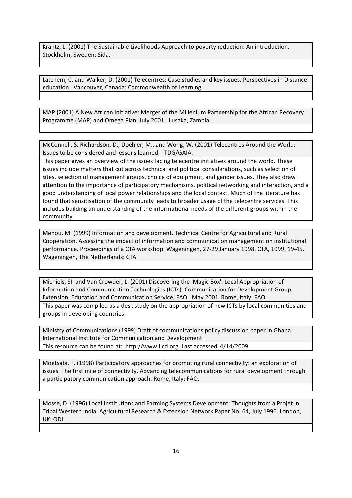Krantz, L. (2001) The Sustainable Livelihoods Approach to poverty reduction: An introduction. Stockholm, Sweden: Sida.

Latchem, C. and Walker, D. (2001) Telecentres: Case studies and key issues. Perspectives in Distance education. Vancouver, Canada: Commonwealth of Learning.

MAP (2001) A New African Initiative: Merger of the Millenium Partnership for the African Recovery Programme (MAP) and Omega Plan. July 2001. Lusaka, Zambia.

McConnell, S. Richardson, D., Doehler, M., and Wong, W. (2001) Telecentres Around the World: Issues to be considered and lessons learned. TDG/GAIA.

This paper gives an overview of the issues facing telecentre initiatives around the world. These issues include matters that cut across technical and political considerations, such as selection of sites, selection of management groups, choice of equipment, and gender issues. They also draw attention to the importance of participatory mechanisms, political networking and interaction, and a good understanding of local power relationships and the local context. Much of the literature has found that sensitisation of the community leads to broader usage of the telecentre services. This includes building an understanding of the informational needs of the different groups within the community.

Menou, M. (1999) Information and development. Technical Centre for Agricultural and Rural Cooperation, Assessing the impact of information and communication management on institutional performance. Proceedings of a CTA workshop. Wageningen, 27‐29 January 1998. CTA, 1999, 19‐45. Wageningen, The Netherlands: CTA.

Michiels, SI. and Van Crowder, L. (2001) Discovering the 'Magic Box': Local Appropriation of Information and Communication Technologies (ICTs). Communication for Development Group, Extension, Education and Communication Service, FAO. May 2001. Rome, Italy: FAO. This paper was compiled as a desk study on the appropriation of new ICTs by local communities and groups in developing countries.

Ministry of Communications (1999) Draft of communications policy discussion paper in Ghana. International Institute for Communication and Development. This resource can be found at: http://www.iicd.org. Last accessed 4/14/2009

Moetsabi, T. (1998) Participatory approaches for promoting rural connectivity: an exploration of issues. The first mile of connectivity. Advancing telecommunications for rural development through a participatory communication approach. Rome, Italy: FAO.

Mosse, D. (1996) Local Institutions and Farming Systems Development: Thoughts from a Projet in Tribal Western India. Agricultural Research & Extension Network Paper No. 64, July 1996. London, UK: ODI.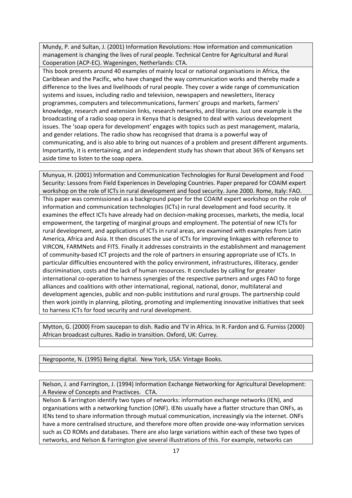Mundy, P. and Sultan, J. (2001) Information Revolutions: How information and communication management is changing the lives of rural people. Technical Centre for Agricultural and Rural Cooperation (ACP‐EC). Wageningen, Netherlands: CTA.

This book presents around 40 examples of mainly local or national organisations in Africa, the Caribbean and the Pacific, who have changed the way communication works and thereby made a difference to the lives and livelihoods of rural people. They cover a wide range of communication systems and issues, including radio and television, newspapers and newsletters, literacy programmes, computers and telecommunications, farmers' groups and markets, farmers' knowledge, research and extension links, research networks, and libraries. Just one example is the broadcasting of a radio soap opera in Kenya that is designed to deal with various development issues. The 'soap opera for development' engages with topics such as pest management, malaria, and gender relations. The radio show has recognised that drama is a powerful way of communicating, and is also able to bring out nuances of a problem and present different arguments. Importantly, it is entertaining, and an independent study has shown that about 36% of Kenyans set aside time to listen to the soap opera.

Munyua, H. (2001) Information and Communication Technologies for Rural Development and Food Security: Lessons from Field Experiences in Developing Countries. Paper prepared for COAIM expert workshop on the role of ICTs in rural development and food security. June 2000. Rome, Italy: FAO. This paper was commissioned as a background paper for the COAIM expert workshop on the role of information and communication technologies (ICTs) in rural development and food security. It examines the effect ICTs have already had on decision‐making processes, markets, the media, local empowerment, the targeting of marginal groups and employment. The potential of new ICTs for rural development, and applications of ICTs in rural areas, are examined with examples from Latin America, Africa and Asia. It then discuses the use of ICTs for improving linkages with reference to VIRCON, FARMNets and FITS. Finally it addresses constraints in the establishment and management of community‐based ICT projects and the role of partners in ensuring appropriate use of ICTs. In particular difficulties encountered with the policy environment, infrastructures, illiteracy, gender discrimination, costs and the lack of human resources. It concludes by calling for greater international co-operation to harness synergies of the respective partners and urges FAO to forge alliances and coalitions with other international, regional, national, donor, multilateral and development agencies, public and non‐public institutions and rural groups. The partnership could then work jointly in planning, piloting, promoting and implementing innovative initiatives that seek to harness ICTs for food security and rural development.

Mytton, G. (2000) From saucepan to dish. Radio and TV in Africa. In R. Fardon and G. Furniss (2000) African broadcast cultures. Radio in transition. Oxford, UK: Currey.

Negroponte, N. (1995) Being digital. New York, USA: Vintage Books.

Nelson, J. and Farrington, J. (1994) Information Exchange Networking for Agricultural Development: A Review of Concepts and Practivces. CTA.

Nelson & Farrington identify two types of networks: information exchange networks (IEN), and organisations with a networking function (ONF). IENs usually have a flatter structure than ONFs, as IENs tend to share information through mutual communication, increasingly via the internet. ONFs have a more centralised structure, and therefore more often provide one‐way information services such as CD ROMs and databases. There are also large variations within each of these two types of networks, and Nelson & Farrington give several illustrations of this. For example, networks can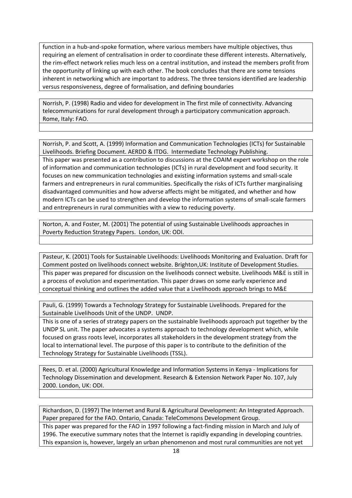function in a hub-and-spoke formation, where various members have multiple objectives, thus requiring an element of centralisation in order to coordinate these different interests. Alternatively, the rim‐effect network relies much less on a central institution, and instead the members profit from the opportunity of linking up with each other. The book concludes that there are some tensions inherent in networking which are important to address. The three tensions identified are leadership versus responsiveness, degree of formalisation, and defining boundaries

Norrish, P. (1998) Radio and video for development in The first mile of connectivity. Advancing telecommunications for rural development through a participatory communication approach. Rome, Italy: FAO.

Norrish, P. and Scott, A. (1999) Information and Communication Technologies (ICTs) for Sustainable Livelihoods. Briefing Document. AERDD & ITDG. Intermediate Technology Publishing.

This paper was presented as a contribution to discussions at the COAIM expert workshop on the role of information and communication technologies (ICTs) in rural development and food security. It focuses on new communication technologies and existing information systems and small‐scale farmers and entrepreneurs in rural communities. Specifically the risks of ICTs further marginalising disadvantaged communities and how adverse affects might be mitigated, and whether and how modern ICTs can be used to strengthen and develop the information systems of small‐scale farmers and entrepreneurs in rural communities with a view to reducing poverty.

Norton, A. and Foster, M. (2001) The potential of using Sustainable Livelihoods approaches in Poverty Reduction Strategy Papers. London, UK: ODI.

Pasteur, K. (2001) Tools for Sustainable Livelihoods: Livelihoods Monitoring and Evaluation. Draft for Comment posted on livelihoods connect website. Brighton,UK: Institute of Development Studies. This paper was prepared for discussion on the livelihoods connect website. Livelihoods M&E is still in a process of evolution and experimentation. This paper draws on some early experience and conceptual thinking and outlines the added value that a Livelihoods approach brings to M&E

Pauli, G. (1999) Towards a Technology Strategy for Sustainable Livelihoods. Prepared for the Sustainable Livelihoods Unit of the UNDP. UNDP.

This is one of a series of strategy papers on the sustainable livelihoods approach put together by the UNDP SL unit. The paper advocates a systems approach to technology development which, while focused on grass roots level, incorporates all stakeholders in the development strategy from the local to international level. The purpose of this paper is to contribute to the definition of the Technology Strategy for Sustainable Livelihoods (TSSL).

Rees, D. et al. (2000) Agricultural Knowledge and Information Systems in Kenya ‐ Implications for Technology Dissemination and development. Research & Extension Network Paper No. 107, July 2000. London, UK: ODI.

Richardson, D. (1997) The Internet and Rural & Agricultural Development: An Integrated Approach. Paper prepared for the FAO. Ontario, Canada: TeleCommons Development Group.

This paper was prepared for the FAO in 1997 following a fact-finding mission in March and July of 1996. The executive summary notes that the Internet is rapidly expanding in developing countries. This expansion is, however, largely an urban phenomenon and most rural communities are not yet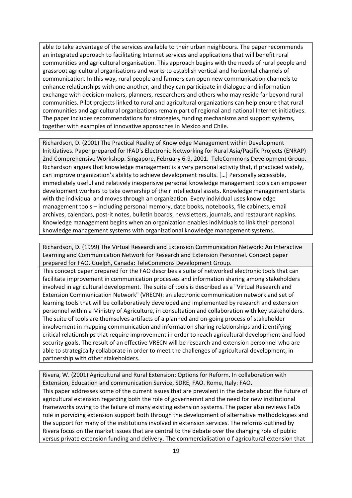able to take advantage of the services available to their urban neighbours. The paper recommends an integrated approach to facilitating Internet services and applications that will benefit rural communities and agricultural organisation. This approach begins with the needs of rural people and grassroot agricultural organisations and works to establish vertical and horizontal channels of communication. In this way, rural people and farmers can open new communication channels to enhance relationships with one another, and they can participate in dialogue and information exchange with decision‐makers, planners, researchers and others who may reside far beyond rural communities. Pilot projects linked to rural and agricultural organizations can help ensure that rural communities and agricultural organizations remain part of regional and national Internet initiatives. The paper includes recommendations for strategies, funding mechanisms and support systems, together with examples of innovative approaches in Mexico and Chile.

Richardson, D. (2001) The Practical Reality of Knowledge Management within Development Inititiatives. Paper prepared for IFAD's Electronic Networking for Rural Asia/Pacific Projects (ENRAP) 2nd Comprehensive Workshop. Singapore, February 6‐9, 2001. TeleCommons Development Group. Richardson argues that knowledge management is a very personal activity that, if practiced widely, can improve organization's ability to achieve development results. […] Personally accessible, immediately useful and relatively inexpensive personal knowledge management tools can empower development workers to take ownership of their intellectual assets. Knowledge management starts with the individual and moves through an organization. Every individual uses knowledge management tools – including personal memory, date books, notebooks, file cabinets, email archives, calendars, post‐it notes, bulletin boards, newsletters, journals, and restaurant napkins. Knowledge management begins when an organization enables individuals to link their personal knowledge management systems with organizational knowledge management systems.

Richardson, D. (1999) The Virtual Research and Extension Communication Network: An Interactive Learning and Communication Network for Research and Extension Personnel. Concept paper prepared for FAO. Guelph, Canada: TeleCommons Development Group.

This concept paper prepared for the FAO describes a suite of networked electronic tools that can facilitate improvement in communication processes and information sharing among stakeholders involved in agricultural development. The suite of tools is described as a "Virtual Research and Extension Communication Network" (VRECN): an electronic communication network and set of learning tools that will be collaboratively developed and implemented by research and extension personnel within a Ministry of Agriculture, in consultation and collaboration with key stakeholders. The suite of tools are themselves artifacts of a planned and on-going process of stakeholder involvement in mapping communication and information sharing relationships and identifying critical relationships that require improvement in order to reach agricultural development and food security goals. The result of an effective VRECN will be research and extension personnel who are able to strategically collaborate in order to meet the challenges of agricultural development, in partnership with other stakeholders.

Rivera, W. (2001) Agricultural and Rural Extension: Options for Reform. In collaboration with Extension, Education and communication Service, SDRE, FAO. Rome, Italy: FAO.

This paper addresses some of the current issues that are prevalent in the debate about the future of agricultural extension regarding both the role of governemnt and the need for new institutional frameworks owing to the failure of many existing extension systems. The paper also reviews FaOs role in porviding extension support both through the development of alternative methodologies and the support for many of the institutions involved in extension services. The reforms outlined by Rivera focus on the market issues that are central to the debate over the changing role of public versus private extension funding and delivery. The commercialisation o f agricultural extension that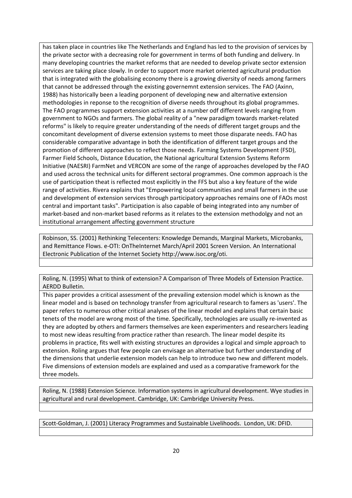has taken place in countries like The Netherlands and England has led to the provision of services by the private sector with a decreasing role for government in terms of both funding and delivery. In many developing countries the market reforms that are needed to develop private sector extension services are taking place slowly. In order to support more market oriented agricultural production that is integrated with the globalising economy there is a growing diversity of needs among farmers that cannot be addressed through the existing governemnt extension services. The FAO (Axinn, 1988) has historically been a leading porponent of developing new and alternative extension methodologies in reponse to the recognition of diverse needs throughout its global programmes. The FAO programmes support extension activities at a number odf different levels ranging from government to NGOs and farmers. The global reality of a "new paradigm towards market‐related reforms" is likely to require greater understanding of the needs of different target groups and the concomitant development of diverse extension systems to meet those disparate needs. FAO has considerable comparative advantage in both the identification of different target groups and the promotion of different approaches to reflect those needs. Farming Systems Development (FSD), Farmer Field Schools, Distance Education, the National agricultural Extension Systems Reform Initiative (NAESRI) FarmNet and VERCON are some of the range of approaches developed by the FAO and used across the technical units for different sectoral programmes. One common approach is the use of participation theat is reflected most explicitly in the FFS but also a key feature of the wide range of activities. Rivera explains that "Empowering local communities and small farmers in the use and development of extension services through participatory approaches remains one of FAOs most central and important tasks". Participation is also capable of being integrated into any number of market-based and non-market based reforms as it relates to the extension methodolgy and not an institutional arrangement affecting government structure

Robinson, SS. (2001) Rethinking Telecenters: Knowledge Demands, Marginal Markets, Microbanks, and Remittance Flows. e‐OTI: OnTheInternet March/April 2001 Screen Version. An International Electronic Publication of the Internet Society http://www.isoc.org/oti.

Roling, N. (1995) What to think of extension? A Comparison of Three Models of Extension Practice. AERDD Bulletin.

This paper provides a critical assessment of the prevailing extension model which is known as the linear model and is based on technology transfer from agricultural research to famers as 'users'. The paper refers to numerous other critical analyses of the linear model and explains that certain basic tenets of the model are wrong most of the time. Specifically, technologies are usually re-invented as they are adopted by others and farmers themselves are keen experimenters and researchers leading to most new ideas resulting from practice rather than research. The linear model despite its problems in practice, fits well with existing structures an dprovides a logical and simple approach to extension. Roling argues that few people can envisage an alternative but further understanding of the dimensions that underlie extension models can help to introduce two new and different models. Five dimensions of extension models are explained and used as a comparative framework for the three models.

Roling, N. (1988) Extension Science. Information systems in agricultural development. Wye studies in agricultural and rural development. Cambridge, UK: Cambridge University Press.

Scott‐Goldman, J. (2001) Literacy Programmes and Sustainable Livelihoods. London, UK: DFID.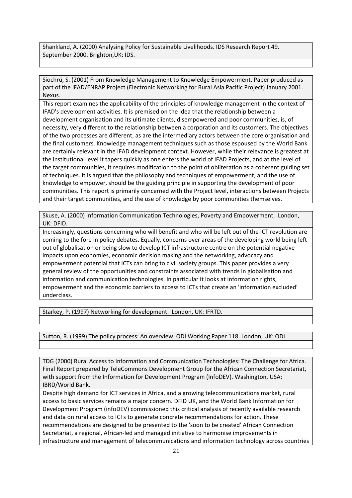Shankland, A. (2000) Analysing Policy for Sustainable Livelihoods. IDS Research Report 49. September 2000. Brighton,UK: IDS.

Siochrú, S. (2001) From Knowledge Management to Knowledge Empowerment. Paper produced as part of the IFAD/ENRAP Project (Electronic Networking for Rural Asia Pacific Project) January 2001. Nexus.

This report examines the applicability of the principles of knowledge management in the context of IFAD's development activities. It is premised on the idea that the relationship between a development organisation and its ultimate clients, disempowered and poor communities, is, of necessity, very different to the relationship between a corporation and its customers. The objectives of the two processes are different, as are the intermediary actors between the core organisation and the final customers. Knowledge management techniques such as those espoused by the World Bank are certainly relevant in the IFAD development context. However, while their relevance is greatest at the institutional level it tapers quickly as one enters the world of IFAD Projects, and at the level of the target communities, it requires modification to the point of obliteration as a coherent guiding set of techniques. It is argued that the philosophy and techniques of empowerment, and the use of knowledge to empower, should be the guiding principle in supporting the development of poor communities. This report is primarily concerned with the Project level, interactions between Projects and their target communities, and the use of knowledge by poor communities themselves.

Skuse, A. (2000) Information Communication Technologies, Poverty and Empowerment. London, UK: DFID.

Increasingly, questions concerning who will benefit and who will be left out of the ICT revolution are coming to the fore in policy debates. Equally, concerns over areas of the developing world being left out of globalisation or being slow to develop ICT infrastructure centre on the potential negative impacts upon economies, economic decision making and the networking, advocacy and empowerment potential that ICTs can bring to civil society groups. This paper provides a very general review of the opportunities and constraints associated with trends in globalisation and information and communication technologies. In particular it looks at information rights, empowerment and the economic barriers to access to ICTs that create an 'information excluded' underclass.

Starkey, P. (1997) Networking for development. London, UK: IFRTD.

Sutton, R. (1999) The policy process: An overview. ODI Working Paper 118. London, UK: ODI.

TDG (2000) Rural Access to Information and Communication Technologies: The Challenge for Africa. Final Report prepared by TeleCommons Development Group for the African Connection Secretariat, with support from the Information for Development Program (InfoDEV). Washington, USA: IBRD/World Bank.

Despite high demand for ICT services in Africa, and a growing telecommunications market, rural access to basic services remains a major concern. DFID UK, and the World Bank Information for Development Program (infoDEV) commissioned this critical analysis of recently available research and data on rural access to ICTs to generate concrete recommendations for action. These recommendations are designed to be presented to the 'soon to be created' African Connection Secretariat, a regional, African‐led and managed initiative to harmonise improvements in infrastructure and management of telecommunications and information technology across countries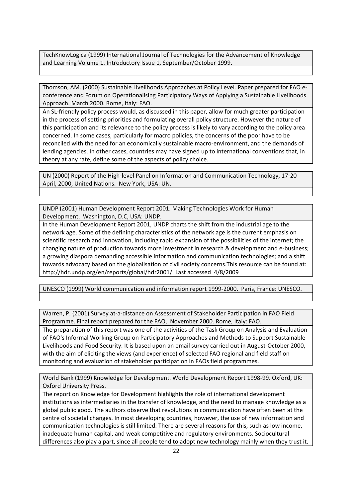TechKnowLogica (1999) International Journal of Technologies for the Advancement of Knowledge and Learning Volume 1. Introductory Issue 1, September/October 1999.

Thomson, AM. (2000) Sustainable Livelihoods Approaches at Policy Level. Paper prepared for FAO e‐ conference and Forum on Operationalising Participatory Ways of Applying a Sustainable Livelihoods Approach. March 2000. Rome, Italy: FAO.

An SL-friendly policy process would, as discussed in this paper, allow for much greater participation in the process of setting priorities and formulating overall policy structure. However the nature of this participation and its relevance to the policy process is likely to vary according to the policy area concerned. In some cases, particularly for macro policies, the concerns of the poor have to be reconciled with the need for an economically sustainable macro‐environment, and the demands of lending agencies. In other cases, countries may have signed up to international conventions that, in theory at any rate, define some of the aspects of policy choice.

UN (2000) Report of the High‐level Panel on Information and Communication Technology, 17‐20 April, 2000, United Nations. New York, USA: UN.

UNDP (2001) Human Development Report 2001. Making Technologies Work for Human Development. Washington, D.C, USA: UNDP.

In the Human Development Report 2001, UNDP charts the shift from the industrial age to the network age. Some of the defining characteristics of the network age is the current emphasis on scientific research and innovation, including rapid expansion of the possibilities of the internet; the changing nature of production towards more investment in research & development and e‐business; a growing diaspora demanding accessible information and communication technologies; and a shift towards advocacy based on the globalisation of civil society concerns.This resource can be found at: http://hdr.undp.org/en/reports/global/hdr2001/. Last accessed 4/8/2009

UNESCO (1999) World communication and information report 1999‐2000. Paris, France: UNESCO.

Warren, P. (2001) Survey at‐a‐distance on Assessment of Stakeholder Participation in FAO Field Programme. Final report prepared for the FAO, November 2000. Rome, Italy: FAO.

The preparation of this report was one of the activities of the Task Group on Analysis and Evaluation of FAO's Informal Working Group on Participatory Approaches and Methods to Support Sustainable Livelihoods and Food Security. It is based upon an email survey carried out in August‐October 2000, with the aim of eliciting the views (and experience) of selected FAO regional and field staff on monitoring and evaluation of stakeholder participation in FAOs field programmes.

World Bank (1999) Knowledge for Development. World Development Report 1998‐99. Oxford, UK: Oxford University Press.

The report on Knowledge for Development highlights the role of international development institutions as intermediaries in the transfer of knowledge, and the need to manage knowledge as a global public good. The authors observe that revolutions in communication have often been at the centre of societal changes. In most developing countries, however, the use of new information and communication technologies is still limited. There are several reasons for this, such as low income, inadequate human capital, and weak competitive and regulatory environments. Sociocultural differences also play a part, since all people tend to adopt new technology mainly when they trust it.